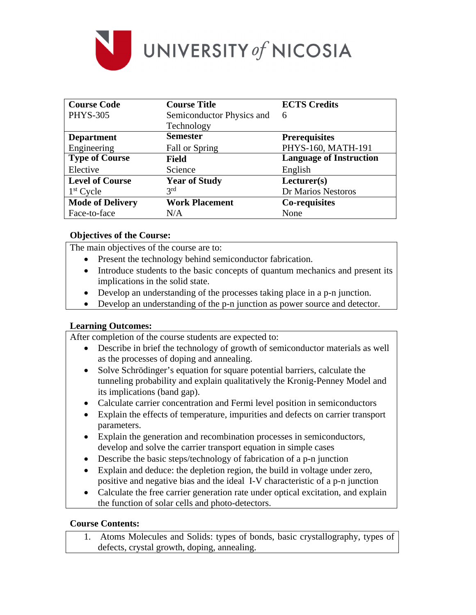

| <b>Course Code</b>      | <b>Course Title</b>       | <b>ECTS Credits</b>            |
|-------------------------|---------------------------|--------------------------------|
| <b>PHYS-305</b>         | Semiconductor Physics and | 6                              |
|                         | Technology                |                                |
| <b>Department</b>       | <b>Semester</b>           | <b>Prerequisites</b>           |
| Engineering             | Fall or Spring            | PHYS-160, MATH-191             |
| <b>Type of Course</b>   | Field                     | <b>Language of Instruction</b> |
| Elective                | Science                   | English                        |
| <b>Level of Course</b>  | <b>Year of Study</b>      | Lecturer(s)                    |
| $1st$ Cycle             | 3 <sup>rd</sup>           | Dr Marios Nestoros             |
| <b>Mode of Delivery</b> | <b>Work Placement</b>     | Co-requisites                  |
| Face-to-face            | N/A                       | None                           |

## **Objectives of the Course:**

The main objectives of the course are to:

- Present the technology behind semiconductor fabrication.
- Introduce students to the basic concepts of quantum mechanics and present its implications in the solid state.
- Develop an understanding of the processes taking place in a p-n junction.
- Develop an understanding of the p-n junction as power source and detector.

## **Learning Outcomes:**

After completion of the course students are expected to:

- Describe in brief the technology of growth of semiconductor materials as well as the processes of doping and annealing.
- Solve Schrödinger's equation for square potential barriers, calculate the tunneling probability and explain qualitatively the Kronig-Penney Model and its implications (band gap).
- Calculate carrier concentration and Fermi level position in semiconductors
- Explain the effects of temperature, impurities and defects on carrier transport parameters.
- Explain the generation and recombination processes in semiconductors, develop and solve the carrier transport equation in simple cases
- Describe the basic steps/technology of fabrication of a p-n junction
- Explain and deduce: the depletion region, the build in voltage under zero, positive and negative bias and the ideal I-V characteristic of a p-n junction
- Calculate the free carrier generation rate under optical excitation, and explain the function of solar cells and photo-detectors.

# **Course Contents:**

1. Atoms Molecules and Solids: types of bonds, basic crystallography, types of defects, crystal growth, doping, annealing.